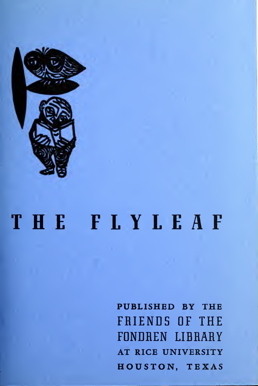

# THE FLYLEAF

PUBLISHED BY THE FRIENDS DF THE FDNDHEN LIBRARY AT RICE UNIVERSITY HOUSTON, TEXAS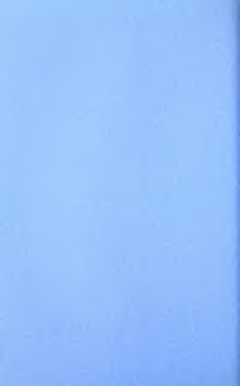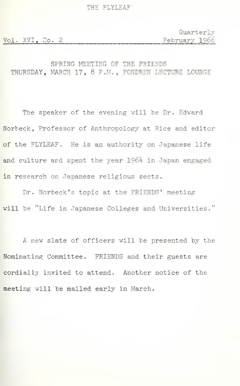## SPRING MEETING OF THE FRIENDS THURSDAY, MARCH IT, 8 P.M., FONDREN LECTURE LOUNGE

The speaker of the evening will be Dr. Edward Norheck, Professor of Anthropology at Rice and editor of the FLYLEAF. He is an authority on Japanese life and culture and spent the year 1964 in Japan engaged in research on Japanese religious sects.

Dr. Norbeck's topic at the FRIENDS' meeting will be "Life in Japanese Colleges and Universities."

A new slate of officers will be presented by the Nominating Committee. FRIENDS and their guests are cordially invited to attend. Another notice of the meeting will be mailed early in March.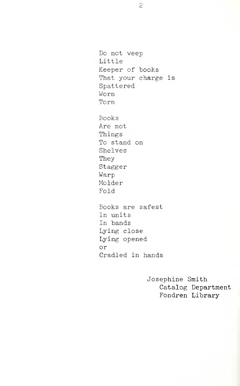Do not weep Little Keeper of books That your charge is Spattered Worn Torn Books Are not Things To stand on Shelves They Stagger Warp Molder Fold Books are safest In units In bands Lying close Lying opened orCradled in hands

> Josephine Smith Catalog Department Fondren Library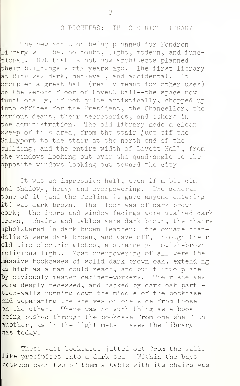## O PIONEERS: THE OLD RICE LIBRARY

The new addition being planned for Fondren Library will be, no doubt, light, modern, and functional. But that is not how architects planned their buildings sixty years ago. The first library at Rice was dark, medieval, and accidental. It occupied a great hall (really meant for other uses) on the second floor of Lovett Hall--the space now functionally, if not quite artistically, chopped up into offices for the President, the Chancellor, the various deans, their secretaries, and others in the administration. The old library made a clean sweep of this area, from the stair just off the Sallyport to the stair at the north end of the building, and the entire width of Lovett Hall, from the windows looking out over the quadrangle to the opposite windows looking out toward the city.

It was an impressive hall, even if a bit dim and shadowy, heavy and overpowering. The general tone of it (and the feeling it gave anyone entering it) was dark brown. The floor was of dark brown cork; the doors and window facings were stained dark brown; chairs and tables were dark brown, the chairs upholstered in dark brown leather; the ornate chandeliers were dark brown, and gave off, through their old-time electric globes, a strange yellowish-brown religious light. Most overpowering of all were the massive bookcases of solid dark brown oak, extending as high as a man could reach, and built into place by obviously master cabinet-workers. Their shelves were deeply recessed, and backed by dark oak partition-walls running down the middle of the bookcase and separating the shelves on one side from those on the other. There was no such thing as a book being pushed through the bookcase from one shelf to another, as in the light metal cases the library has today.

These vast bookcases jutted out from the walls like precipices into a dark sea. Within the bays between each two of them a table with its chairs was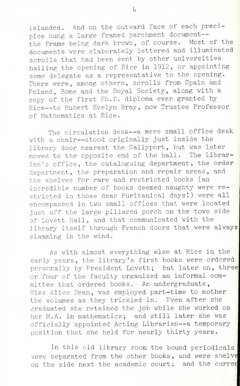islanded. And on the outward face of each precipice hung a large framed parchment document-the frame being dark brown, of course. Most of the documents were elaborately lettered and illuminated scrolls that had been sent by other universities hailing the opening of Rice in 1912, or appointing some delegate as <sup>a</sup> representative to the opening. There were, among others, scrolls from Spain and Poland, Rome and the Royal Society, along with a copy of the first Ph.D. diploma ever granted by Rice--to Hubert Evelyn Bray, now Trustee Professor of Mathematics at Rice.

The circulation desk--a mere small office desk with a chair--stood originally just inside the library door nearest the Sallyport, but was later moved to the opposite end of the hall. The Librarian's office, the cataloguing department, the order department, the preparation and repair areas, and the shelves for rare and restricted books (an incredible number of books deemed naughty were re stricted in those dear Puritanical days!) were all encompassed in two small offices that were located just off the large pillared porch on the town side of Lovett Hall, and that communicated with the library itself through French doors that were always slamming in the wind.

As with almost everything else at Rice in the early years, the library's first books were ordered personally by President Lovett; but later on, three or four of the faculty organized an informal com mittee that ordered books. An undergraduate. Miss Alice Dean, was employed part-time to mother the volumes as they trickled in. Even after she graduated she retained the job while she worked on her M.A. in mathematics; and still later she was officially appointed Acting Librarian—<sup>a</sup> temporary position that she held for nearly thirty years.

In this old library room the bound periodicals were separated from the other books, and were shelve on the side next the academic court; and the currer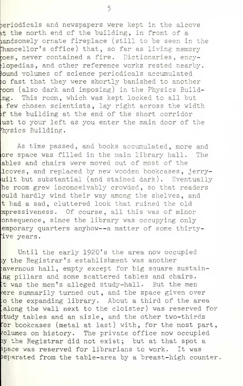periodicals and newspapers were kept in the alcove at the north end of the building, in front of a andsomely ornate fireplace (still to be seen in the 'hancellor's office) that, so far as living memory ces, never contained a fire. Dictionaries, encylopedias, and other reference works rested nearby. bound volumes of science periodicals accumulated o fast that they were shortly banished to another 'oom (also dark and imposing) in the Physics Buildng. This room, which was kept locked to all but I few chosen scientists, lay right across the width of the building at the end of the short corridor ust to your left as you enter the main door of the hysics Building.

As time passed, and books accumulated, more and ore space was filled in the main library hall. The ables and chairs were moved out of most of the Icoves, and replaced by new wooden bookcases, jerryuilt but substantial (and stained dark). Eventually he room grew inconceivably crowded, so that readers ould hardly wind their way among the shelves, and t had a sad, cluttered look that ruined the old mpressiveness. Of course, all this was of minor onsequence, since the library was occupying only emporary quarters anyhow--a matter of some thirtyive years.

Until the early 1920's the area now occupied by the Registrar's establishment was another avernous hall, empty except for big square sustain-.ng pillars and some scattered tables and chairs. It was the men's alleged study-hall. But the men vere summarily turned out, and the space given over to the expanding library. About a third of the area (along the wall next to the cloister) was reserved for study tables and an aisle, and the other two-thirds for bookcases (metal at last) with, for the most part, volumes on history. The private office now occupied by the Registrar did not exist; but at that spot a space was reserved for librarians to work. It was separated from the table-area by a breast-high counter.

5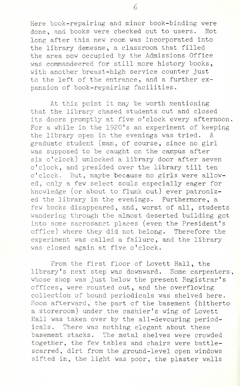Here book-repairing and minor book-binding were done, and books were checked out to users. Not long after this new room was incorporated into the library demesne, a classroom that filled the area now occupied by the Admissions Office was commandeered for still more history books, with another breast-high service counter just to the left of the entrance, and a further ex pansion of book-repairing facilities.

At this point it may be worth mentioning that the library chased students out and closed its doors promptly at five o'clock every afternoon. For a while in the 1920 's an experiment of keeping the library open in the evenings was tried. A graduate student (man, of course, since no girl was supposed to be caught on the campus after six o'clock) unlocked a library door after seven o'clock, and presided over the library till ten o'clock. But, maybe because no girls were allowed, only a few select souls especially eager for knowledge (or about to flunk out) ever patronized the library in the evenings. Furthermore, a few books disappeared, and, worst of all, students wandering through the almost deserted building got into some sacrosanct places (even the President's office) where they did not belong. Therefore the experiment was called a failure, and the library was closed again at five o'clock.

From the first floor of Lovett Hall, the library's next step was downward. Some carpenters, whose shop was just below the present Registrar's offices, were rousted out, and the overflowing collection of bound periodicals was shelved here. Soon afterward, the part of the basement (hitherto a storeroom) under the cashier's wing of Lovett Hall was taken over by the all-devouring periodicals. There was nothing elegant about these basement stacks. The metal shelves were crowded together, the few tables and chairs were battlescarred, dirt from the ground-level open windows sifted in, the light was poor, the plaster walls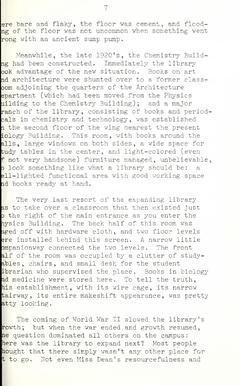ere bare and flaky, the floor was cement, and floodng of the floor was not uncommon when something went rong with an ancient sump pump.

Meanwhile, the late 1920's, the Chemistry Buildng had been constructed. Immediately the library ook advantage of the new situation. Books on art nd architecture were shunted over to a former classoom adjoining the quarters of the Architecture epartment (which had been moved from the Physics uilding to the Chemistry Building); and a major ranch of the library, consisting of books and periodcals in chemistry and technology, was established n the second floor of the wing nearest the present iology Building. This room, with books around the alls, large windows on both sides, a wide space for tudy tables in the center, and light-colored (even <sup>f</sup> not very handsome) furniture managed, unbelievable, o look something like what a library should be: a **ell-lighted functional area with good working space** nd books ready at hand.

The very last resort of the expanding library as to take over a classroom that then existed just o the right of the main entrance as you enter the hysics Building. The back half of this room was aged off with hardware cloth, and two floor levels ere installed behind this screen. A narrow little ompanionway connected the two levels. The front alf of the room was occupied by a clutter of studyables, chairs, and small desk for the student ibrarian who supervised the place. Books in biology nd medicine were stored here. To tell the truth, his establishment, with its wire cage, its narrow tairway, its entire makeshift appearance, was pretty atty looking.

The coming of World War II slowed the library's rowth; but when the war ended and growth resumed, ne question dominated all others on the campus: here was the library to expand next? Most people hought that there simply wasn't any other place for t to go. Not even Miss Dean's resourcefulness and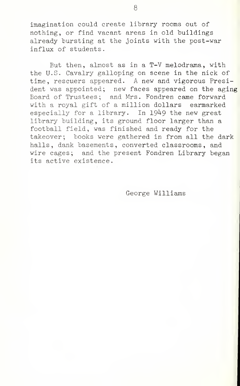imagination could create library rooms out of nothing, or find vacant areas in old buildings already bursting at the joints with the post-war influx of students.

But then, almost as in a T-V melodrama, with the U.S. Cavalry galloping on scene in the nick of time, rescuers appeared. A new and vigorous President was appointed; new faces appeared on the aging Board of Trustees; and Mrs. Fondren came forward with a royal gift of a million dollars earmarked especially for a library. In 1949 the new great library building, its ground floor larger than a football field, was finished and ready for the takeover; books were gathered in from all the dark halls, dank basements, converted classrooms, and wire cages; and the present Fondren Library began its active existence.

George Williams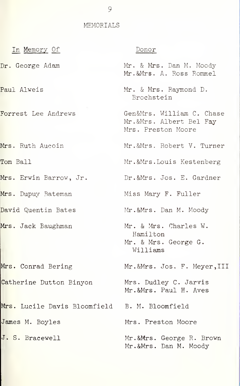**MEMORTALS** 

In Memory Of

Dr. George Adam

Paul Alweis

Forrest Lee Andrews

Mrs. Ruth Aucoin

Tom Ball

Mrs. Erwin Barrow, Jr.

Mrs. Dupuy Bateman

David Quentin Bates

Mrs. Jack Baughman

Mrs. Conrad Bering

Catherine Dutton Binyon

Mrs. Lucile Davis Bloomfield B. M. Bloomfield James M. Boyles J. S. Bracewell

#### Donor

Mr. & Mrs. Dan M. Moody Mr.&Mrs. A. Ross Rommel

Mr. & Mrs. Raymond D. Brochstein

Gen&Mrs. William C. Chase Mr.&Mrs. Albert Bel Fay Mrs. Preston Moore

Mr.&Mrs. Robert V. Turner

Mr .&Mrs .Louis Kestenberg

Dr.&Mrs. Jos. E. Gardner

Miss Mary F. Fuller

Mr. &Mrs. Dan M. Moody

Mr. & Mrs. Charles W. Hamilton Mr. & Mrs. George G. Williams

Mr.&Mrs. Jos. F. Meyer, III

Mrs. Dudley C. Jarvis Mr.&Mrs. Paul H. Aves

Mrs . Preston Moore

Mr.&Mrs. George R. Brown Mr.&Mrs. Dan M. Moody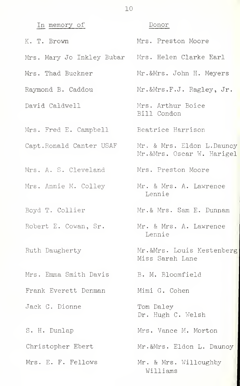In memory of K. T. Brown Mrs. Mary Jo Inkley Bubar – Mrs. Helen Clarke Earl Mrs. Thad Buckner Raymond B. Caddou David Caldwell Mrs. Fred E. Campbell Beatrice Harrison Capt.Ronald Canter USAF Mr. & Mrs. Eldon L.Daunoy<mark>l</mark> Mrs. A. S. Cleveland Mrs. Annie M. Colley Boyd T. Collier Robert E. Cowan, Sr Ruth Daugherty Mrs. Emma Smith Davis Frank Everett Denman Jack C. Dionne S. H. Dunlap Christopher Ebert Mrs. E. F. Fellows Donor Mrs, Preston Moore Mr.&Mrs. John H. Meyers Mr. &Mrs. F.J. Ragley, Jr. Mrs. Arthur Boice Bill Condon Mr.&Mrs. Oscar W. Harigel Mrs. Preston Moore Mr. & Mrs. A. Lawrence Lennie Mr.& Mrs. Sam E. Dunnam Mr. & Mrs. A. Lawrence Lennie Mr.&Mrs. Louis Kestenberg Miss Sarah Lane B. M. Bloomfield Mimi G. Cohen Tom Daley Dr. Hugh C. Welsh Mrs. Vance M. Morton Mr.&Mrs. Eldon L. Daunoy Mr. & Mrs. Willoughby Williams

10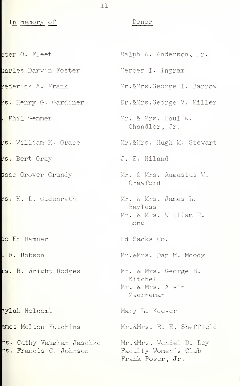## In memory of

eter O. Fleet harles Darwin Foster rederick A. Frank rs. Henry G. Gardiner . Phil Gemmer

rs. William K. Grace rs. Bert Gray saac Grover Grundy

rs. H. L. Gudenrath

be Ed Hamner

. R. Hobson

rs. R. Wright Hodges

aylah Holcomb ames Melton Hutchins

rs. Francis C. Johnson

Ralph A. Anderson, Jr. Mercer T. Ingram Mr. &Mrs. George T. Barrow Dr.&Mrs.George V. Miller Mr. & Mrs. Paul W. Chandler, Jr. Mr. &Mrs. Hugh M. Stewart J. E. Niland Mr. & Mrs. Augustus W. Crawford Mr. & Mrs. James L. Bayless Mr. & Mrs. William R. Long Ed Sacks Co. Mr. &Mrs. Dan M. Moody Mr. & Mrs. George B. Kitchel Mr. & Mrs. Alvin **Zverneman** Mary L. Keever Mr. &Mrs. E. E. Sheffield rs. Cathy Vaurhan Jaschke Mr.&Mrs. Wendel D. Ley Faculty Women's Club

Frank Power, Jr.

## Donor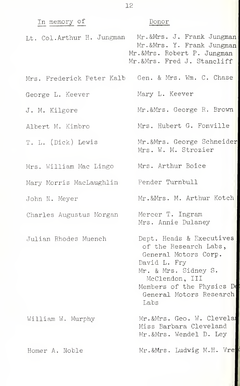| In memory of                             | Donor                                                                                                                                                                                               |
|------------------------------------------|-----------------------------------------------------------------------------------------------------------------------------------------------------------------------------------------------------|
|                                          | Lt. Col. Arthur H. Jungman Mr. &Mrs. J. Frank Jungman<br>Mr. & Mrs. Y. Frank Jungman<br>Mr. &Mrs. Robert P. Jungman<br>Mr. &Mrs. Fred J. Stancliff                                                  |
|                                          | Mrs. Frederick Peter Kalb Gen. & Mrs. Wm. C. Chase                                                                                                                                                  |
| George L. Keever                         | Mary L. Keever                                                                                                                                                                                      |
| J. M. Kilgore                            | Mr. &Mrs. George R. Brown                                                                                                                                                                           |
| Albert M. Kimbro                         | Mrs. Hubert G. Fonville                                                                                                                                                                             |
| T. L. (Dick) Lewis                       | Mr. &Mrs. George Schneider<br>Mrs. W. M. Strozier                                                                                                                                                   |
| Mrs. William Mac Lingo Mrs. Arthur Boice |                                                                                                                                                                                                     |
| Mary Morris MacLaughlin                  | Pender Turnbull                                                                                                                                                                                     |
| John N. Meyer                            | Mr. & Mrs. M. Arthur Kotch                                                                                                                                                                          |
| Charles Augustus Morgan                  | Mercer T. Ingram<br>Mrs. Annie Dulaney                                                                                                                                                              |
| Julian Rhodes Muench                     | Dept. Heads & Executives<br>of the Research Labs,<br>General Motors Corp.<br>David L. Fry<br>Mr. & Mrs. Sidney S.<br>McClendon, III<br>Members of the Physics De<br>General Motors Research<br>Labs |
| William W. Murphy                        | Mr. &Mrs. Geo. W. Clevelar<br>Miss Barbara Cleveland<br>Mr. &Mrs. Wendel D. Ley                                                                                                                     |
| Homer A. Noble                           | Mr. & Mrs. Ludwig M.H. Vre                                                                                                                                                                          |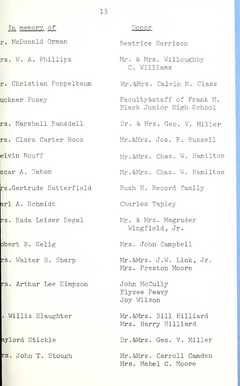In memory of r. McDonald Orman rs. W. A. Phillips r. Christian Poppelbaum uckner Posey rs. Marshall Ramsdell rs. Clara Carter Roos elvin Rouff scar A. Sabom rs. Gertrude Satterfield Rush H. Record family arl A. Schmidt rs. Hada Leiser Segal obert B. Selig rs. Walter B. Sharp rs. Arthur Lee Simpson . Willis Slaughter aylord Stickle rs. John T. Stough Donor Beatrice Harrison Mr. & Mrs. Willoughby C. Williams Mr.&Mrs. Calvin M. Class Faculty&staff of Frank M. Black Junior High School Dr. & Mrs. Geo. V. Miller Mr.&Mrs. Jos. R. Russell Mr.&Mrs. Chas. W. Hamilton Mr.&Mrs. Chas. W. Hamilton Charles Tapley Mr. & Mrs. Magruder Wingfield, Jr. Mrs. John Campbell Mr.&Mrs. J.W. Link, Jr. Mrs. Preston Moore John McCully Elysee Peayy Joy Wilson Mr.&Mrs. Bill Hilliard Mrs. Harry Hilliard Dr.&Mrs. Geo. V. Miller Mr.&Mrs. Carroll Camden Mrs. Mabel C. Moore

13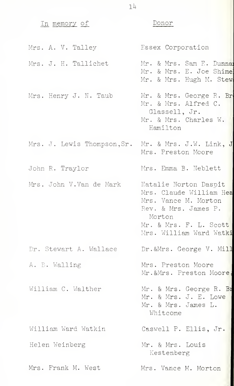| 14                                                  |                                                                                                                                                                 |
|-----------------------------------------------------|-----------------------------------------------------------------------------------------------------------------------------------------------------------------|
| In memory of                                        | Donor                                                                                                                                                           |
| Mrs. A. V. Talley                                   | Essex Corporation                                                                                                                                               |
| Mrs. J. H. Tallichet                                | Mr. & Mrs. Sam E. Dunnal<br>Mr. & Mrs. E. Joe Shime<br>Mr. & Mrs. Hugh M. Stew                                                                                  |
| Mrs. Henry J. N. Taub                               | Mr. & Mrs. George R. Br<br>Mr. & Mrs. Alfred C.<br>Glassell, Jr.<br>Mr. & Mrs. Charles W.<br>Hamilton                                                           |
| Mrs. J. Lewis Thompson, Sr. Mr. & Mrs. J.W. Link, J | Mrs. Preston Moore                                                                                                                                              |
| John R. Traylor                                     | Mrs. Emma B. Neblett                                                                                                                                            |
| Mrs. John V.Van de Mark                             | Natalie Norton Daspit<br>Mrs. Claude William Hea<br>Mrs. Vance M. Morton<br>Rev. & Mrs. James P.<br>Morton<br>Mr. & Mrs. F. L. Scott<br>Mrs. William Ward Watki |
| Dr. Stewart A. Wallace                              | Dr.&Mrs. George V. Mill                                                                                                                                         |
| A. B. Walling                                       | Mrs. Preston Moore<br>Mr. &Mrs. Preston Moore,                                                                                                                  |
| William C. Walther                                  | Mr. & Mrs. George R. Br<br>Mr. & Mrs. J. E. Lowe<br>Mr. & Mrs. James L.<br>Whitcome                                                                             |
| William Ward Watkin                                 | Caswell P. Ellis, Jr.                                                                                                                                           |
| Helen Weinberg                                      | Mr. & Mrs. Louis<br>Kestenberg                                                                                                                                  |
| Mrs. Frank M. West                                  | Mrs. Vance M. Morton                                                                                                                                            |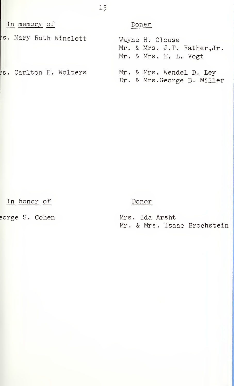| In memory of          | Doner                                                                   |
|-----------------------|-------------------------------------------------------------------------|
| s. Mary Ruth Winslett | Wayne H. Clouse<br>Mr. & Mrs. J.T. Rather, Jr.<br>Mr. & Mrs. E. L. Vogt |
| s. Carlton E. Wolters | Mr. & Mrs. Wendel D. Ley<br>Dr. & Mrs. George B. Miller                 |

In honor of Donor

eorge S. Cohen Mrs. Ida Arsht Mr. & Mrs. Isaac Brochstein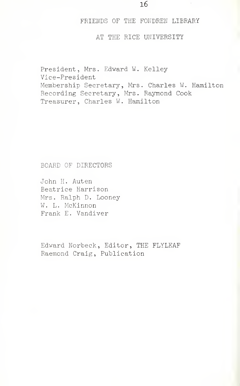## FRIENDS OF THE FONDREN LIBRARY

#### AT THE RICE UNIVERSITY

President, Mrs. Edward W. Kelley Vice-President Membership Secretary, Mrs. Charles W. Hamilton Recording Secretary, Mrs. Raymond Cook Treasurer, Charles W. Hamilton

BOARD OF DIRECTORS

John H. Auten Beatrice Harrison Mrs. Ralph D. Looney W. L. McKinnon Frank E. Vandiver

Edward Norbeck, Editor, THE FLYLEAF Raemond Craig, Publication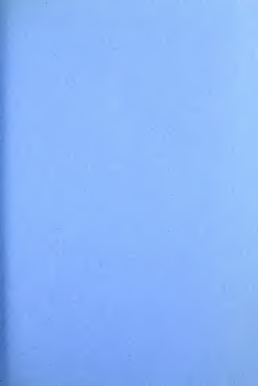